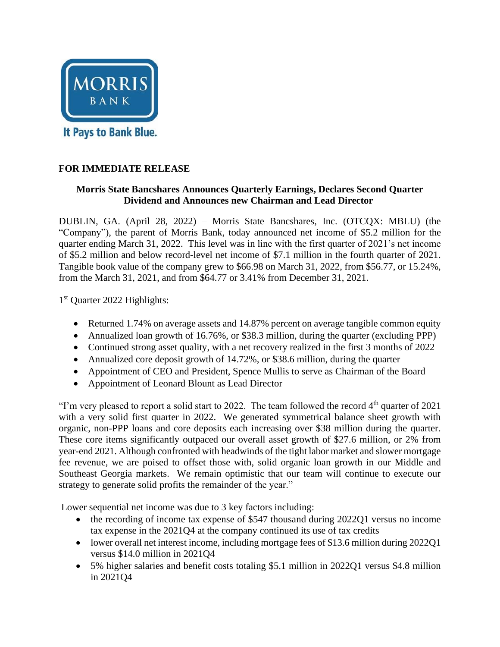

#### **FOR IMMEDIATE RELEASE**

#### **Morris State Bancshares Announces Quarterly Earnings, Declares Second Quarter Dividend and Announces new Chairman and Lead Director**

DUBLIN, GA. (April 28, 2022) – Morris State Bancshares, Inc. (OTCQX: MBLU) (the "Company"), the parent of Morris Bank, today announced net income of \$5.2 million for the quarter ending March 31, 2022. This level was in line with the first quarter of 2021's net income of \$5.2 million and below record-level net income of \$7.1 million in the fourth quarter of 2021. Tangible book value of the company grew to \$66.98 on March 31, 2022, from \$56.77, or 15.24%, from the March 31, 2021, and from \$64.77 or 3.41% from December 31, 2021.

1<sup>st</sup> Quarter 2022 Highlights:

- Returned 1.74% on average assets and 14.87% percent on average tangible common equity
- Annualized loan growth of 16.76%, or \$38.3 million, during the quarter (excluding PPP)
- Continued strong asset quality, with a net recovery realized in the first 3 months of 2022
- Annualized core deposit growth of 14.72%, or \$38.6 million, during the quarter
- Appointment of CEO and President, Spence Mullis to serve as Chairman of the Board
- Appointment of Leonard Blount as Lead Director

"I'm very pleased to report a solid start to 2022. The team followed the record  $4<sup>th</sup>$  quarter of 2021 with a very solid first quarter in 2022. We generated symmetrical balance sheet growth with organic, non-PPP loans and core deposits each increasing over \$38 million during the quarter. These core items significantly outpaced our overall asset growth of \$27.6 million, or 2% from year-end 2021. Although confronted with headwinds of the tight labor market and slower mortgage fee revenue, we are poised to offset those with, solid organic loan growth in our Middle and Southeast Georgia markets. We remain optimistic that our team will continue to execute our strategy to generate solid profits the remainder of the year."

Lower sequential net income was due to 3 key factors including:

- the recording of income tax expense of \$547 thousand during 2022Q1 versus no income tax expense in the 2021Q4 at the company continued its use of tax credits
- lower overall net interest income, including mortgage fees of \$13.6 million during 2022Q1 versus \$14.0 million in 2021Q4
- 5% higher salaries and benefit costs totaling \$5.1 million in 2022Q1 versus \$4.8 million in 2021Q4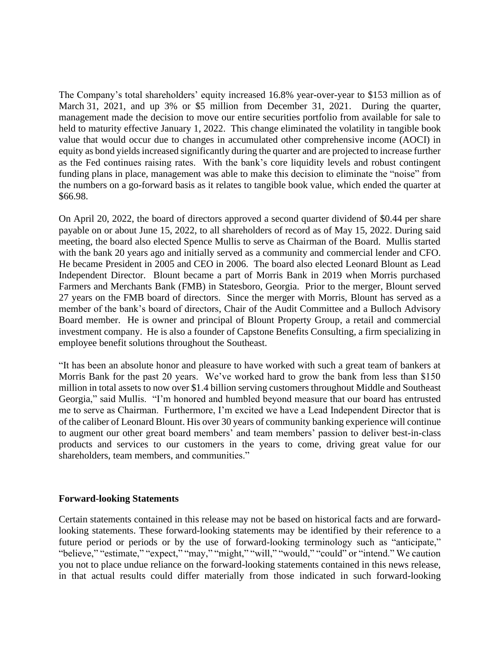The Company's total shareholders' equity increased 16.8% year-over-year to \$153 million as of March 31, 2021, and up 3% or \$5 million from December 31, 2021. During the quarter, management made the decision to move our entire securities portfolio from available for sale to held to maturity effective January 1, 2022. This change eliminated the volatility in tangible book value that would occur due to changes in accumulated other comprehensive income (AOCI) in equity as bond yields increased significantly during the quarter and are projected to increase further as the Fed continues raising rates. With the bank's core liquidity levels and robust contingent funding plans in place, management was able to make this decision to eliminate the "noise" from the numbers on a go-forward basis as it relates to tangible book value, which ended the quarter at \$66.98.

On April 20, 2022, the board of directors approved a second quarter dividend of \$0.44 per share payable on or about June 15, 2022, to all shareholders of record as of May 15, 2022. During said meeting, the board also elected Spence Mullis to serve as Chairman of the Board. Mullis started with the bank 20 years ago and initially served as a community and commercial lender and CFO. He became President in 2005 and CEO in 2006. The board also elected Leonard Blount as Lead Independent Director. Blount became a part of Morris Bank in 2019 when Morris purchased Farmers and Merchants Bank (FMB) in Statesboro, Georgia. Prior to the merger, Blount served 27 years on the FMB board of directors. Since the merger with Morris, Blount has served as a member of the bank's board of directors, Chair of the Audit Committee and a Bulloch Advisory Board member. He is owner and principal of Blount Property Group, a retail and commercial investment company. He is also a founder of Capstone Benefits Consulting, a firm specializing in employee benefit solutions throughout the Southeast.

"It has been an absolute honor and pleasure to have worked with such a great team of bankers at Morris Bank for the past 20 years. We've worked hard to grow the bank from less than \$150 million in total assets to now over \$1.4 billion serving customers throughout Middle and Southeast Georgia," said Mullis. "I'm honored and humbled beyond measure that our board has entrusted me to serve as Chairman. Furthermore, I'm excited we have a Lead Independent Director that is of the caliber of Leonard Blount. His over 30 years of community banking experience will continue to augment our other great board members' and team members' passion to deliver best-in-class products and services to our customers in the years to come, driving great value for our shareholders, team members, and communities."

#### **Forward-looking Statements**

Certain statements contained in this release may not be based on historical facts and are forwardlooking statements. These forward-looking statements may be identified by their reference to a future period or periods or by the use of forward-looking terminology such as "anticipate," "believe," "estimate," "expect," "may," "might," "will," "would," "could" or "intend." We caution you not to place undue reliance on the forward-looking statements contained in this news release, in that actual results could differ materially from those indicated in such forward-looking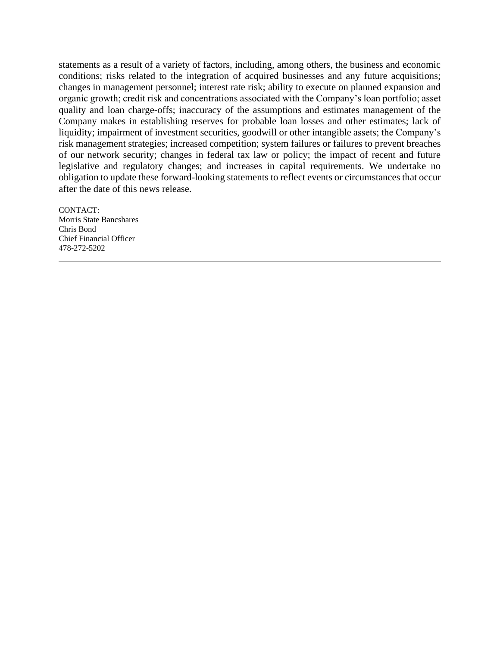statements as a result of a variety of factors, including, among others, the business and economic conditions; risks related to the integration of acquired businesses and any future acquisitions; changes in management personnel; interest rate risk; ability to execute on planned expansion and organic growth; credit risk and concentrations associated with the Company's loan portfolio; asset quality and loan charge-offs; inaccuracy of the assumptions and estimates management of the Company makes in establishing reserves for probable loan losses and other estimates; lack of liquidity; impairment of investment securities, goodwill or other intangible assets; the Company's risk management strategies; increased competition; system failures or failures to prevent breaches of our network security; changes in federal tax law or policy; the impact of recent and future legislative and regulatory changes; and increases in capital requirements. We undertake no obligation to update these forward-looking statements to reflect events or circumstances that occur after the date of this news release.

CONTACT: Morris State Bancshares Chris Bond Chief Financial Officer 478-272-5202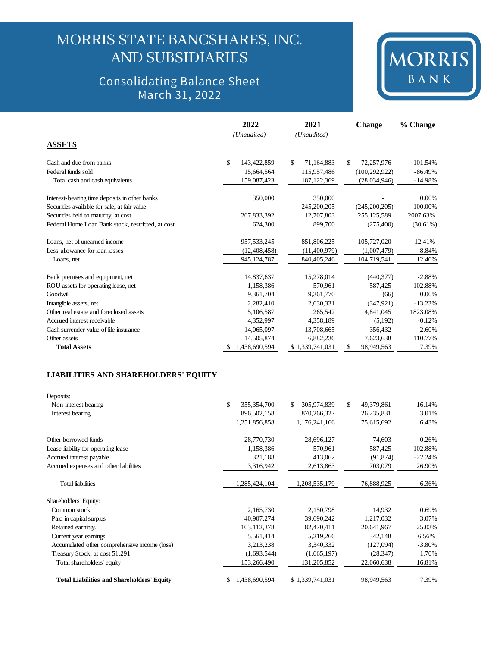## MORRIS STATE BANCSHARES, INC. **AND SUBSIDIARIES**

### **Consolidating Balance Sheet** March 31, 2022



|                                                   | 2022               | 2021             | <b>Change</b>    | % Change    |
|---------------------------------------------------|--------------------|------------------|------------------|-------------|
|                                                   | (Unaudited)        | (Unaudited)      |                  |             |
| <b>ASSETS</b>                                     |                    |                  |                  |             |
| Cash and due from banks                           | \$<br>143,422,859  | \$<br>71,164,883 | \$<br>72,257,976 | 101.54%     |
| Federal funds sold                                | 15,664,564         | 115,957,486      | (100, 292, 922)  | $-86.49%$   |
| Total cash and cash equivalents                   | 159,087,423        | 187, 122, 369    | (28,034,946)     | $-14.98%$   |
| Interest-bearing time deposits in other banks     | 350,000            | 350,000          |                  | 0.00%       |
| Securities available for sale, at fair value      |                    | 245,200,205      | (245, 200, 205)  | $-100.00\%$ |
| Securities held to maturity, at cost              | 267,833,392        | 12,707,803       | 255,125,589      | 2007.63%    |
| Federal Home Loan Bank stock, restricted, at cost | 624,300            | 899,700          | (275, 400)       | (30.61%)    |
| Loans, net of unearned income                     | 957,533,245        | 851,806,225      | 105,727,020      | 12.41%      |
| Less-allowance for loan losses                    | (12, 408, 458)     | (11,400,979)     | (1,007,479)      | 8.84%       |
| Loans, net                                        | 945,124,787        | 840,405,246      | 104,719,541      | 12.46%      |
| Bank premises and equipment, net                  | 14,837,637         | 15,278,014       | (440, 377)       | $-2.88%$    |
| ROU assets for operating lease, net               | 1,158,386          | 570,961          | 587,425          | 102.88%     |
| Goodwill                                          | 9,361,704          | 9,361,770        | (66)             | 0.00%       |
| Intangible assets, net                            | 2,282,410          | 2,630,331        | (347, 921)       | $-13.23%$   |
| Other real estate and foreclosed assets           | 5,106,587          | 265.542          | 4,841,045        | 1823.08%    |
| Accrued interest receivable                       | 4,352,997          | 4,358,189        | (5,192)          | $-0.12%$    |
| Cash surrender value of life insurance            | 14,065,097         | 13,708,665       | 356,432          | 2.60%       |
| Other assets                                      | 14,505,874         | 6,882,236        | 7,623,638        | 110.77%     |
| <b>Total Assets</b>                               | 1,438,690,594<br>S | \$1,339,741,031  | \$<br>98,949,563 | 7.39%       |

#### **LIABILITIES AND SHAREHOLDERS' EQUITY**

| Deposits:                                         |                    |                              |                  |           |
|---------------------------------------------------|--------------------|------------------------------|------------------|-----------|
| Non-interest bearing                              | \$<br>355,354,700  | $\mathcal{S}$<br>305,974,839 | \$<br>49,379,861 | 16.14%    |
| Interest bearing                                  | 896,502,158        | 870,266,327                  | 26, 235, 831     | 3.01%     |
|                                                   | 1,251,856,858      | 1,176,241,166                | 75,615,692       | 6.43%     |
| Other borrowed funds                              | 28,770,730         | 28,696,127                   | 74,603           | 0.26%     |
| Lease liability for operating lease               | 1,158,386          | 570,961                      | 587,425          | 102.88%   |
| Accrued interest payable                          | 321,188            | 413,062                      | (91, 874)        | $-22.24%$ |
| Accrued expenses and other liabilities            | 3,316,942          | 2,613,863                    | 703,079          | 26.90%    |
| <b>Total liabilities</b>                          | 1,285,424,104      | 1,208,535,179                | 76,888,925       | 6.36%     |
| Shareholders' Equity:                             |                    |                              |                  |           |
| Common stock                                      | 2,165,730          | 2,150,798                    | 14,932           | 0.69%     |
| Paid in capital surplus                           | 40,907,274         | 39,690,242                   | 1,217,032        | 3.07%     |
| Retained earnings                                 | 103, 112, 378      | 82,470,411                   | 20,641,967       | 25.03%    |
| Current year earnings                             | 5,561,414          | 5,219,266                    | 342,148          | 6.56%     |
| Accumulated other comprehensive income (loss)     | 3,213,238          | 3,340,332                    | (127,094)        | $-3.80\%$ |
| Treasury Stock, at cost 51,291                    | (1,693,544)        | (1,665,197)                  | (28, 347)        | 1.70%     |
| Total shareholders' equity                        | 153,266,490        | 131,205,852                  | 22,060,638       | 16.81%    |
| <b>Total Liabilities and Shareholders' Equity</b> | 1,438,690,594<br>S | \$1,339,741,031              | 98,949,563       | 7.39%     |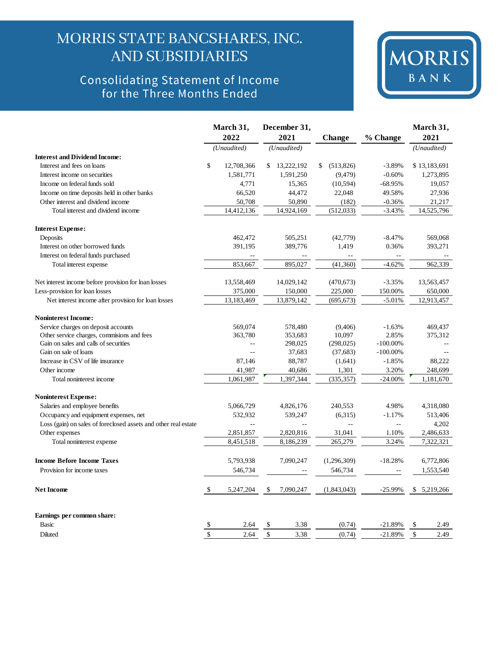## MORRIS STATE BANCSHARES, INC. **AND SUBSIDIARIES**

# Consolidating Statement of Income<br>for the Three Months Ended



|                                                                 |               | March 31,<br>2022 | December 31,<br>2021 | <b>Change</b>   | % Change    | March 31,<br>2021 |
|-----------------------------------------------------------------|---------------|-------------------|----------------------|-----------------|-------------|-------------------|
|                                                                 |               | (Unaudited)       | (Unaudited)          |                 |             | (Unaudited)       |
| <b>Interest and Dividend Income:</b>                            |               |                   |                      |                 |             |                   |
| Interest and fees on loans                                      | \$            | 12,708,366        | \$<br>13,222,192     | \$<br>(513,826) | $-3.89%$    | \$13,183,691      |
| Interest income on securities                                   |               | 1,581,771         | 1,591,250            | (9, 479)        | $-0.60%$    | 1,273,895         |
| Income on federal funds sold                                    |               | 4,771             | 15,365               | (10, 594)       | $-68.95%$   | 19.057            |
| Income on time deposits held in other banks                     |               | 66,520            | 44,472               | 22,048          | 49.58%      | 27,936            |
| Other interest and dividend income                              |               | 50,708            | 50,890               | (182)           | $-0.36%$    | 21,217            |
| Total interest and dividend income                              |               | 14,412,136        | 14,924,169           | (512, 033)      | $-3.43%$    | 14,525,796        |
| <b>Interest Expense:</b>                                        |               |                   |                      |                 |             |                   |
| Deposits                                                        |               | 462,472           | 505,251              | (42, 779)       | $-8.47%$    | 569,068           |
| Interest on other borrowed funds                                |               | 391,195           | 389,776              | 1,419           | 0.36%       | 393,271           |
| Interest on federal funds purchased                             |               |                   |                      | $-$             | $-$         |                   |
| Total interest expense                                          |               | 853,667           | 895,027              | (41,360)        | $-4.62%$    | 962,339           |
| Net interest income before provision for loan losses            |               | 13,558,469        | 14,029,142           | (470, 673)      | $-3.35%$    | 13,563,457        |
| Less-provision for loan losses                                  |               | 375,000           | 150,000              | 225,000         | 150.00%     | 650,000           |
| Net interest income after provision for loan losses             |               | 13,183,469        | 13,879,142           | (695, 673)      | $-5.01%$    | 12,913,457        |
| <b>Noninterest Income:</b>                                      |               |                   |                      |                 |             |                   |
| Service charges on deposit accounts                             |               | 569,074           | 578,480              | (9,406)         | $-1.63%$    | 469,437           |
| Other service charges, commisions and fees                      |               | 363,780           | 353,683              | 10,097          | 2.85%       | 375,312           |
| Gain on sales and calls of securities                           |               |                   | 298,025              | (298, 025)      | $-100.00\%$ |                   |
| Gain on sale of loans                                           |               | $\overline{a}$    | 37,683               | (37,683)        | $-100.00\%$ |                   |
| Increase in CSV of life insurance                               |               | 87,146            | 88,787               | (1,641)         | $-1.85%$    | 88,222            |
| Other income                                                    |               | 41,987            | 40,686               | 1,301           | 3.20%       | 248,699           |
| Total noninterest income                                        |               | 1,061,987         | 1,397,344            | (335, 357)      | $-24.00\%$  | 1,181,670         |
| <b>Noninterest Expense:</b>                                     |               |                   |                      |                 |             |                   |
| Salaries and employee benefits                                  |               | 5,066,729         | 4,826,176            | 240,553         | 4.98%       | 4,318,080         |
| Occupancy and equipment expenses, net                           |               | 532,932           | 539,247              | (6,315)         | $-1.17%$    | 513,406           |
| Loss (gain) on sales of foreclosed assets and other real estate |               | $\overline{a}$    | $\overline{a}$       | $\ddotsc$       | Ξ.          | 4,202             |
| Other expenses                                                  |               | 2,851,857         | 2,820,816            | 31,041          | 1.10%       | 2,486,633         |
| Total noninterest expense                                       |               | 8,451,518         | 8,186,239            | 265,279         | 3.24%       | 7,322,321         |
| <b>Income Before Income Taxes</b>                               |               | 5,793,938         | 7,090,247            | (1,296,309)     | $-18.28%$   | 6,772,806         |
| Provision for income taxes                                      |               | 546,734           |                      | 546,734         |             | 1,553,540         |
| <b>Net Income</b>                                               | \$            | 5,247,204         | \$<br>7,090,247      | (1,843,043)     | $-25.99%$   | \$5,219,266       |
| Earnings per common share:                                      |               |                   |                      |                 |             |                   |
| Basic                                                           | \$            | 2.64              | \$<br>3.38           | (0.74)          | $-21.89%$   | \$<br>2.49        |
| Diluted                                                         | $\mathcal{S}$ | 2.64              | \$<br>3.38           | (0.74)          | $-21.89%$   | \$<br>2.49        |